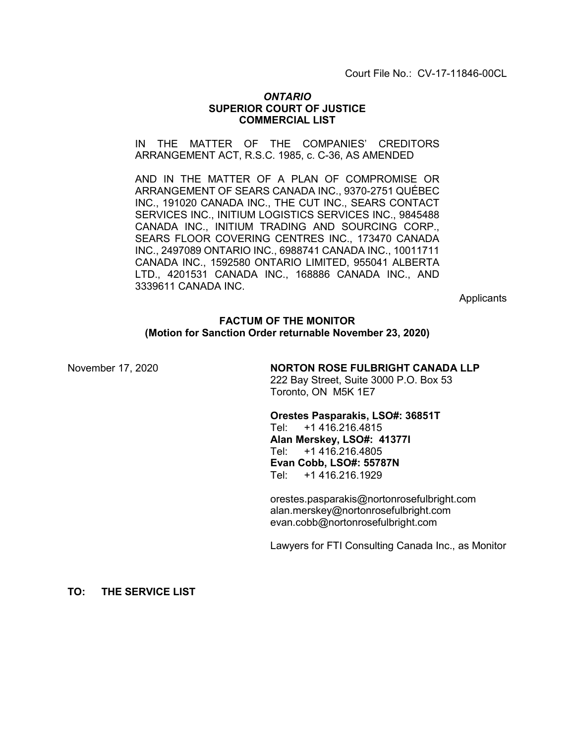Court File No.: CV-17-11846-00CL

### *ONTARIO* **SUPERIOR COURT OF JUSTICE COMMERCIAL LIST**

IN THE MATTER OF THE COMPANIES' CREDITORS ARRANGEMENT ACT, R.S.C. 1985, c. C-36, AS AMENDED

AND IN THE MATTER OF A PLAN OF COMPROMISE OR ARRANGEMENT OF SEARS CANADA INC., 9370-2751 QUÉBEC INC., 191020 CANADA INC., THE CUT INC., SEARS CONTACT SERVICES INC., INITIUM LOGISTICS SERVICES INC., 9845488 CANADA INC., INITIUM TRADING AND SOURCING CORP., SEARS FLOOR COVERING CENTRES INC., 173470 CANADA INC., 2497089 ONTARIO INC., 6988741 CANADA INC., 10011711 CANADA INC., 1592580 ONTARIO LIMITED, 955041 ALBERTA LTD., 4201531 CANADA INC., 168886 CANADA INC., AND 3339611 CANADA INC.

**Applicants** 

#### **FACTUM OF THE MONITOR (Motion for Sanction Order returnable November 23, 2020)**

November 17, 2020 **NORTON ROSE FULBRIGHT CANADA LLP** 222 Bay Street, Suite 3000 P.O. Box 53 Toronto, ON M5K 1E7

> **Orestes Pasparakis, LSO#: 36851T** Tel: +1 416.216.4815 **Alan Merskey, LSO#: 41377I** Tel: +1 416.216.4805 **Evan Cobb, LSO#: 55787N** Tel: +1 416.216.1929

orestes.pasparakis@nortonrosefulbright.com alan.merskey@nortonrosefulbright.com evan.cobb@nortonrosefulbright.com

Lawyers for FTI Consulting Canada Inc., as Monitor

**TO: THE SERVICE LIST**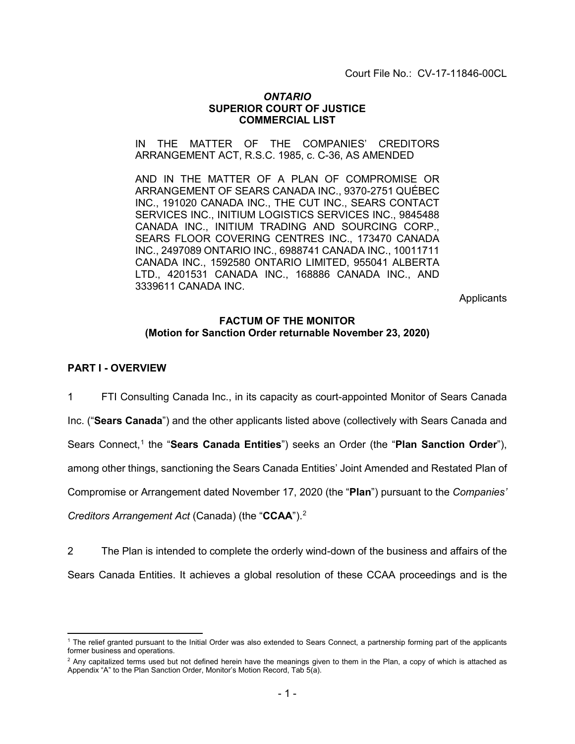Court File No.: CV-17-11846-00CL

### *ONTARIO* **SUPERIOR COURT OF JUSTICE COMMERCIAL LIST**

IN THE MATTER OF THE COMPANIES' CREDITORS ARRANGEMENT ACT, R.S.C. 1985, c. C-36, AS AMENDED

AND IN THE MATTER OF A PLAN OF COMPROMISE OR ARRANGEMENT OF SEARS CANADA INC., 9370-2751 QUÉBEC INC., 191020 CANADA INC., THE CUT INC., SEARS CONTACT SERVICES INC., INITIUM LOGISTICS SERVICES INC., 9845488 CANADA INC., INITIUM TRADING AND SOURCING CORP., SEARS FLOOR COVERING CENTRES INC., 173470 CANADA INC., 2497089 ONTARIO INC., 6988741 CANADA INC., 10011711 CANADA INC., 1592580 ONTARIO LIMITED, 955041 ALBERTA LTD., 4201531 CANADA INC., 168886 CANADA INC., AND 3339611 CANADA INC.

**Applicants** 

### **FACTUM OF THE MONITOR (Motion for Sanction Order returnable November 23, 2020)**

#### **PART I - OVERVIEW**

1 FTI Consulting Canada Inc., in its capacity as court-appointed Monitor of Sears Canada Inc. ("**Sears Canada**") and the other applicants listed above (collectively with Sears Canada and Sears Connect,<sup>[1](#page-1-0)</sup> the "Sears Canada Entities") seeks an Order (the "Plan Sanction Order"), among other things, sanctioning the Sears Canada Entities' Joint Amended and Restated Plan of Compromise or Arrangement dated November 17, 2020 (the "**Plan**") pursuant to the *Companies' Creditors Arrangement Act* (Canada) (the "**CCAA**"). [2](#page-1-1)

2 The Plan is intended to complete the orderly wind-down of the business and affairs of the Sears Canada Entities. It achieves a global resolution of these CCAA proceedings and is the

<span id="page-1-0"></span> <sup>1</sup> The relief granted pursuant to the Initial Order was also extended to Sears Connect, a partnership forming part of the applicants former business and operations.

<span id="page-1-1"></span> $2$  Any capitalized terms used but not defined herein have the meanings given to them in the Plan, a copy of which is attached as Appendix "A" to the Plan Sanction Order, Monitor's Motion Record, Tab 5(a).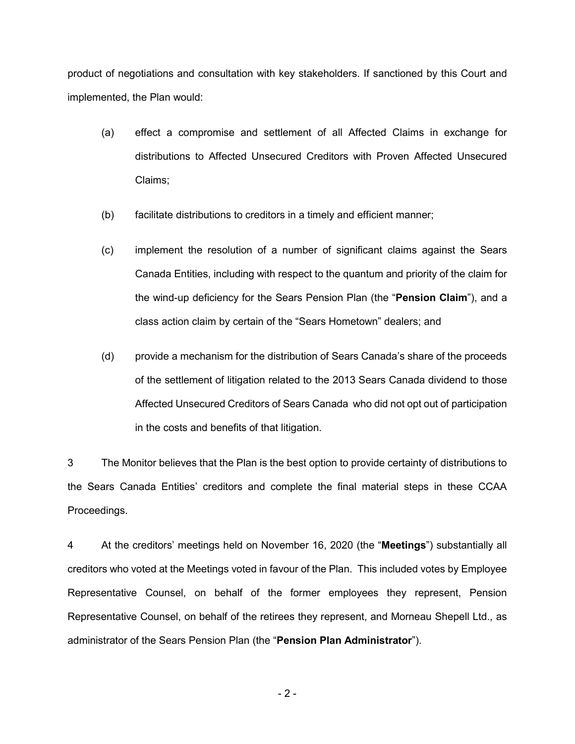product of negotiations and consultation with key stakeholders. If sanctioned by this Court and implemented, the Plan would:

- (a) effect a compromise and settlement of all Affected Claims in exchange for distributions to Affected Unsecured Creditors with Proven Affected Unsecured Claims;
- (b) facilitate distributions to creditors in a timely and efficient manner;
- (c) implement the resolution of a number of significant claims against the Sears Canada Entities, including with respect to the quantum and priority of the claim for the wind-up deficiency for the Sears Pension Plan (the "**Pension Claim**"), and a class action claim by certain of the "Sears Hometown" dealers; and
- (d) provide a mechanism for the distribution of Sears Canada's share of the proceeds of the settlement of litigation related to the 2013 Sears Canada dividend to those Affected Unsecured Creditors of Sears Canada who did not opt out of participation in the costs and benefits of that litigation.

3 The Monitor believes that the Plan is the best option to provide certainty of distributions to the Sears Canada Entities' creditors and complete the final material steps in these CCAA Proceedings.

4 At the creditors' meetings held on November 16, 2020 (the "**Meetings**") substantially all creditors who voted at the Meetings voted in favour of the Plan. This included votes by Employee Representative Counsel, on behalf of the former employees they represent, Pension Representative Counsel, on behalf of the retirees they represent, and Morneau Shepell Ltd., as administrator of the Sears Pension Plan (the "**Pension Plan Administrator**").

- 2 -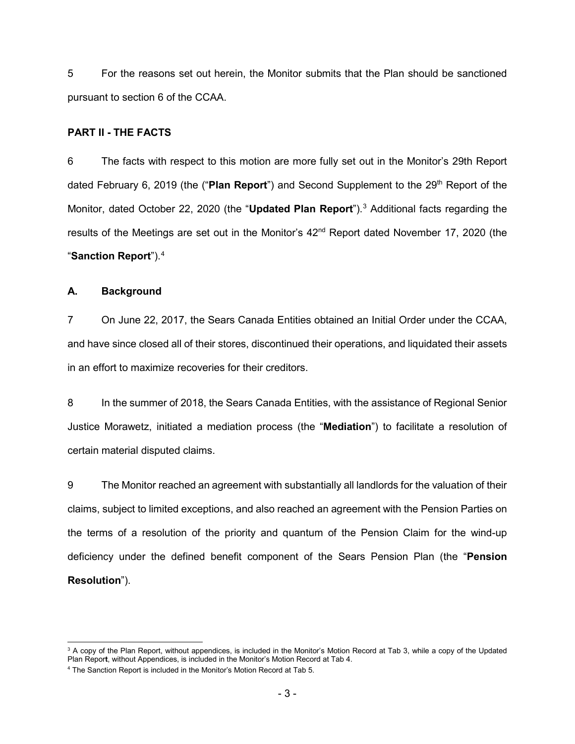5 For the reasons set out herein, the Monitor submits that the Plan should be sanctioned pursuant to section 6 of the CCAA.

#### **PART II - THE FACTS**

6 The facts with respect to this motion are more fully set out in the Monitor's 29th Report dated February 6, 2019 (the ("Plan Report") and Second Supplement to the 29<sup>th</sup> Report of the Monitor, dated October 22, 2020 (the "**Updated Plan Report**"). [3](#page-3-0) Additional facts regarding the results of the Meetings are set out in the Monitor's 42<sup>nd</sup> Report dated November 17, 2020 (the "**Sanction Report**"). [4](#page-3-1)

#### **A. Background**

7 On June 22, 2017, the Sears Canada Entities obtained an Initial Order under the CCAA, and have since closed all of their stores, discontinued their operations, and liquidated their assets in an effort to maximize recoveries for their creditors.

8 In the summer of 2018, the Sears Canada Entities, with the assistance of Regional Senior Justice Morawetz, initiated a mediation process (the "**Mediation**") to facilitate a resolution of certain material disputed claims.

9 The Monitor reached an agreement with substantially all landlords for the valuation of their claims, subject to limited exceptions, and also reached an agreement with the Pension Parties on the terms of a resolution of the priority and quantum of the Pension Claim for the wind-up deficiency under the defined benefit component of the Sears Pension Plan (the "**Pension Resolution**").

<span id="page-3-0"></span> $3$  A copy of the Plan Report, without appendices, is included in the Monitor's Motion Record at Tab 3, while a copy of the Updated Plan Repor**t**, without Appendices, is included in the Monitor's Motion Record at Tab 4.

<span id="page-3-1"></span><sup>4</sup> The Sanction Report is included in the Monitor's Motion Record at Tab 5.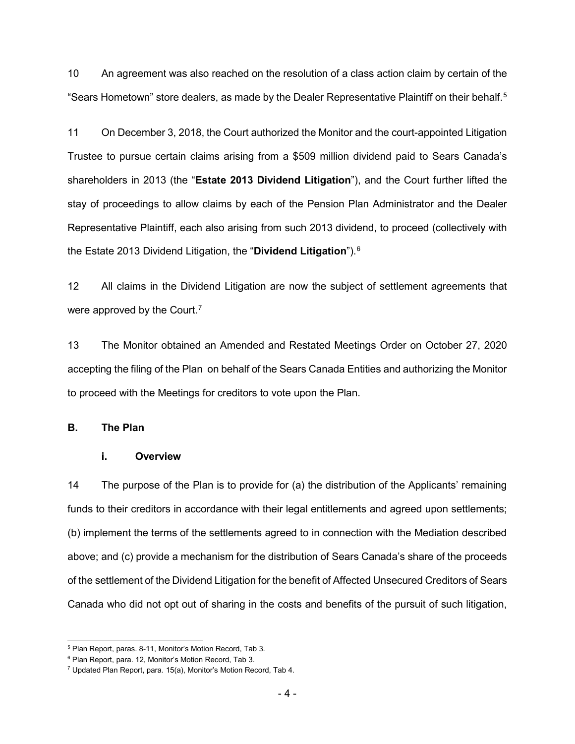10 An agreement was also reached on the resolution of a class action claim by certain of the "Sears Hometown" store dealers, as made by the Dealer Representative Plaintiff on their behalf.<sup>[5](#page-4-0)</sup>

11 On December 3, 2018, the Court authorized the Monitor and the court-appointed Litigation Trustee to pursue certain claims arising from a \$509 million dividend paid to Sears Canada's shareholders in 2013 (the "**Estate 2013 Dividend Litigation**"), and the Court further lifted the stay of proceedings to allow claims by each of the Pension Plan Administrator and the Dealer Representative Plaintiff, each also arising from such 2013 dividend, to proceed (collectively with the Estate 2013 Dividend Litigation, the "**Dividend Litigation**"). [6](#page-4-1)

12 All claims in the Dividend Litigation are now the subject of settlement agreements that were approved by the Court.<sup>[7](#page-4-2)</sup>

13 The Monitor obtained an Amended and Restated Meetings Order on October 27, 2020 accepting the filing of the Plan on behalf of the Sears Canada Entities and authorizing the Monitor to proceed with the Meetings for creditors to vote upon the Plan.

#### **B. The Plan**

# **i. Overview**

14 The purpose of the Plan is to provide for (a) the distribution of the Applicants' remaining funds to their creditors in accordance with their legal entitlements and agreed upon settlements; (b) implement the terms of the settlements agreed to in connection with the Mediation described above; and (c) provide a mechanism for the distribution of Sears Canada's share of the proceeds of the settlement of the Dividend Litigation for the benefit of Affected Unsecured Creditors of Sears Canada who did not opt out of sharing in the costs and benefits of the pursuit of such litigation,

<span id="page-4-0"></span> <sup>5</sup> Plan Report, paras. 8-11, Monitor's Motion Record, Tab 3.

<span id="page-4-1"></span><sup>&</sup>lt;sup>6</sup> Plan Report, para. 12, Monitor's Motion Record, Tab 3.

<span id="page-4-2"></span><sup>7</sup> Updated Plan Report, para. 15(a), Monitor's Motion Record, Tab 4.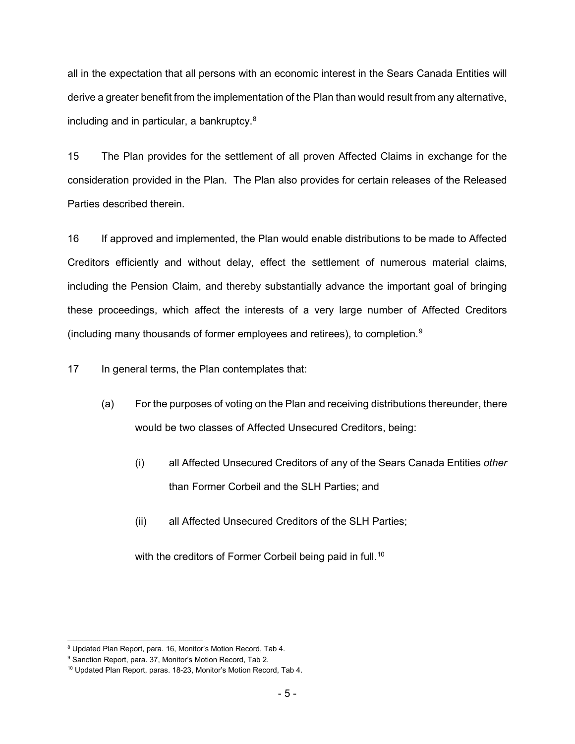all in the expectation that all persons with an economic interest in the Sears Canada Entities will derive a greater benefit from the implementation of the Plan than would result from any alternative, including and in particular, a bankruptcy.[8](#page-5-0)

15 The Plan provides for the settlement of all proven Affected Claims in exchange for the consideration provided in the Plan. The Plan also provides for certain releases of the Released Parties described therein.

16 If approved and implemented, the Plan would enable distributions to be made to Affected Creditors efficiently and without delay, effect the settlement of numerous material claims, including the Pension Claim, and thereby substantially advance the important goal of bringing these proceedings, which affect the interests of a very large number of Affected Creditors (including many thousands of former employees and retirees), to completion.[9](#page-5-1)

17 In general terms, the Plan contemplates that:

- (a) For the purposes of voting on the Plan and receiving distributions thereunder, there would be two classes of Affected Unsecured Creditors, being:
	- (i) all Affected Unsecured Creditors of any of the Sears Canada Entities *other* than Former Corbeil and the SLH Parties; and
	- (ii) all Affected Unsecured Creditors of the SLH Parties;

with the creditors of Former Corbeil being paid in full. [10](#page-5-2)

<span id="page-5-0"></span> <sup>8</sup> Updated Plan Report, para. 16, Monitor's Motion Record, Tab 4.

<span id="page-5-1"></span><sup>&</sup>lt;sup>9</sup> Sanction Report, para. 37, Monitor's Motion Record, Tab 2.

<span id="page-5-2"></span><sup>10</sup> Updated Plan Report, paras. 18-23, Monitor's Motion Record, Tab 4.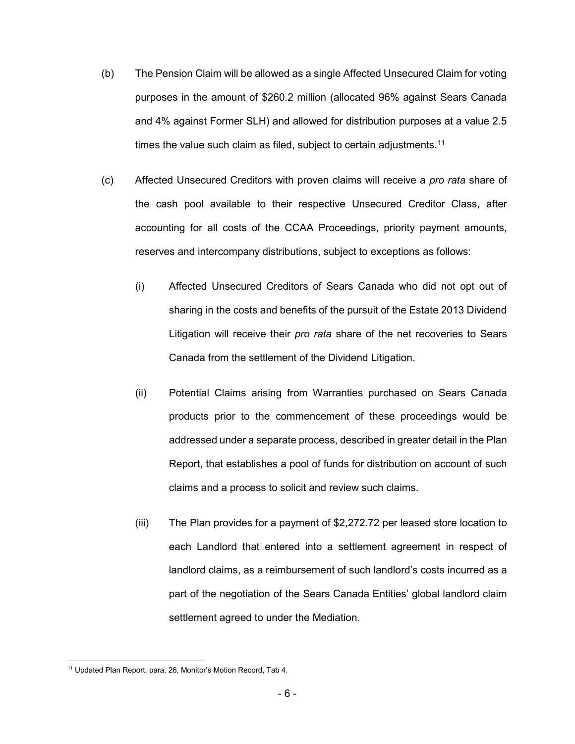- (b) The Pension Claim will be allowed as a single Affected Unsecured Claim for voting purposes in the amount of \$260.2 million (allocated 96% against Sears Canada and 4% against Former SLH) and allowed for distribution purposes at a value 2.5 times the value such claim as filed, subject to certain adjustments. $^{\rm 11}$  $^{\rm 11}$  $^{\rm 11}$
- (c) Affected Unsecured Creditors with proven claims will receive a *pro rata* share of the cash pool available to their respective Unsecured Creditor Class, after accounting for all costs of the CCAA Proceedings, priority payment amounts, reserves and intercompany distributions, subject to exceptions as follows:
	- (i) Affected Unsecured Creditors of Sears Canada who did not opt out of sharing in the costs and benefits of the pursuit of the Estate 2013 Dividend Litigation will receive their *pro rata* share of the net recoveries to Sears Canada from the settlement of the Dividend Litigation.
	- (ii) Potential Claims arising from Warranties purchased on Sears Canada products prior to the commencement of these proceedings would be addressed under a separate process, described in greater detail in the Plan Report, that establishes a pool of funds for distribution on account of such claims and a process to solicit and review such claims.
	- (iii) The Plan provides for a payment of \$2,272.72 per leased store location to each Landlord that entered into a settlement agreement in respect of landlord claims, as a reimbursement of such landlord's costs incurred as a part of the negotiation of the Sears Canada Entities' global landlord claim settlement agreed to under the Mediation.

<span id="page-6-0"></span> <sup>11</sup> Updated Plan Report, para. 26, Monitor's Motion Record, Tab 4.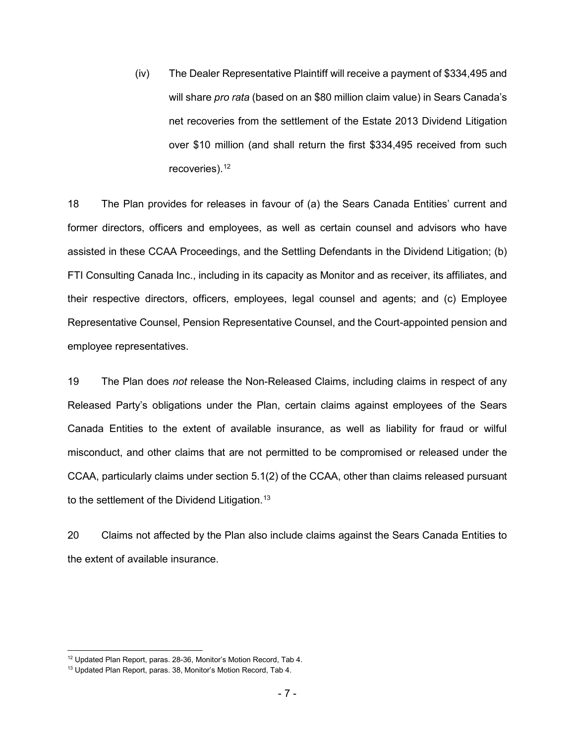(iv) The Dealer Representative Plaintiff will receive a payment of \$334,495 and will share *pro rata* (based on an \$80 million claim value) in Sears Canada's net recoveries from the settlement of the Estate 2013 Dividend Litigation over \$10 million (and shall return the first \$334,495 received from such recoveries).<sup>[12](#page-7-0)</sup>

18 The Plan provides for releases in favour of (a) the Sears Canada Entities' current and former directors, officers and employees, as well as certain counsel and advisors who have assisted in these CCAA Proceedings, and the Settling Defendants in the Dividend Litigation; (b) FTI Consulting Canada Inc., including in its capacity as Monitor and as receiver, its affiliates, and their respective directors, officers, employees, legal counsel and agents; and (c) Employee Representative Counsel, Pension Representative Counsel, and the Court-appointed pension and employee representatives.

19 The Plan does *not* release the Non-Released Claims, including claims in respect of any Released Party's obligations under the Plan, certain claims against employees of the Sears Canada Entities to the extent of available insurance, as well as liability for fraud or wilful misconduct, and other claims that are not permitted to be compromised or released under the CCAA, particularly claims under section 5.1(2) of the CCAA, other than claims released pursuant to the settlement of the Dividend Litigation.<sup>[13](#page-7-1)</sup>

20 Claims not affected by the Plan also include claims against the Sears Canada Entities to the extent of available insurance.

<span id="page-7-0"></span> <sup>12</sup> Updated Plan Report, paras. 28-36, Monitor's Motion Record, Tab 4.

<span id="page-7-1"></span><sup>13</sup> Updated Plan Report, paras. 38, Monitor's Motion Record, Tab 4.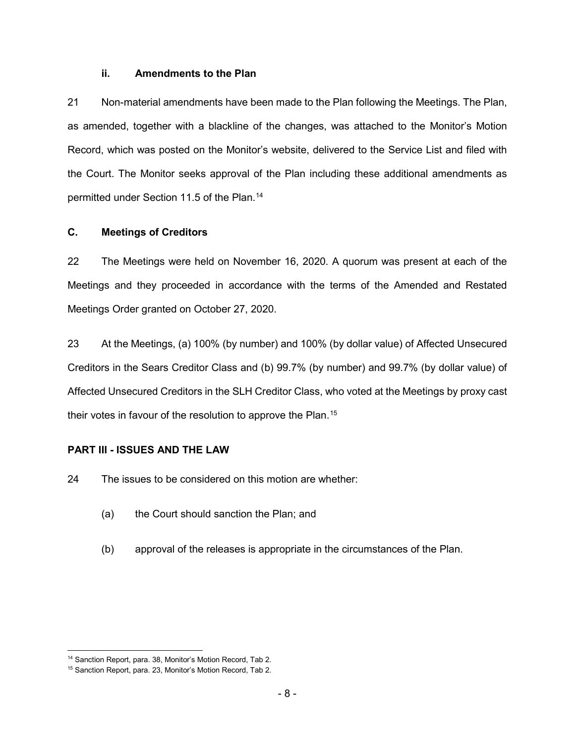#### **ii. Amendments to the Plan**

21 Non-material amendments have been made to the Plan following the Meetings. The Plan, as amended, together with a blackline of the changes, was attached to the Monitor's Motion Record, which was posted on the Monitor's website, delivered to the Service List and filed with the Court. The Monitor seeks approval of the Plan including these additional amendments as permitted under Section 11.5 of the Plan. [14](#page-8-0)

# **C. Meetings of Creditors**

22 The Meetings were held on November 16, 2020. A quorum was present at each of the Meetings and they proceeded in accordance with the terms of the Amended and Restated Meetings Order granted on October 27, 2020.

23 At the Meetings, (a) 100% (by number) and 100% (by dollar value) of Affected Unsecured Creditors in the Sears Creditor Class and (b) 99.7% (by number) and 99.7% (by dollar value) of Affected Unsecured Creditors in the SLH Creditor Class, who voted at the Meetings by proxy cast their votes in favour of the resolution to approve the Plan.<sup>[15](#page-8-1)</sup>

# **PART III - ISSUES AND THE LAW**

24 The issues to be considered on this motion are whether:

- (a) the Court should sanction the Plan; and
- (b) approval of the releases is appropriate in the circumstances of the Plan.

<span id="page-8-0"></span><sup>&</sup>lt;sup>14</sup> Sanction Report, para. 38, Monitor's Motion Record, Tab 2.

<span id="page-8-1"></span><sup>15</sup> Sanction Report, para. 23, Monitor's Motion Record, Tab 2.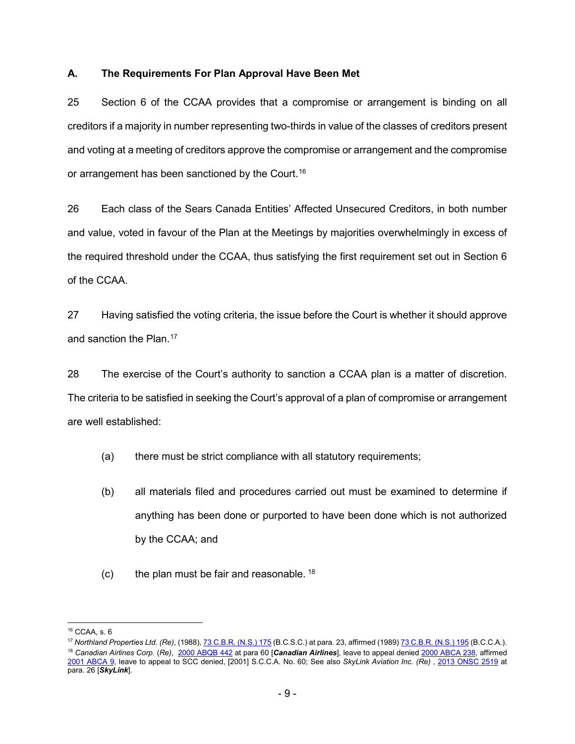# **A. The Requirements For Plan Approval Have Been Met**

25 Section 6 of the CCAA provides that a compromise or arrangement is binding on all creditors if a majority in number representing two-thirds in value of the classes of creditors present and voting at a meeting of creditors approve the compromise or arrangement and the compromise or arrangement has been sanctioned by the Court.<sup>[16](#page-9-0)</sup>

26 Each class of the Sears Canada Entities' Affected Unsecured Creditors, in both number and value, voted in favour of the Plan at the Meetings by majorities overwhelmingly in excess of the required threshold under the CCAA, thus satisfying the first requirement set out in Section 6 of the CCAA.

27 Having satisfied the voting criteria, the issue before the Court is whether it should approve and sanction the Plan.<sup>[17](#page-9-1)</sup>

28 The exercise of the Court's authority to sanction a CCAA plan is a matter of discretion. The criteria to be satisfied in seeking the Court's approval of a plan of compromise or arrangement are well established:

- (a) there must be strict compliance with all statutory requirements;
- (b) all materials filed and procedures carried out must be examined to determine if anything has been done or purported to have been done which is not authorized by the CCAA; and
- $(c)$  the plan must be fair and reasonable.  $18$

<span id="page-9-0"></span> <sup>16</sup> CCAA, s. 6

<span id="page-9-2"></span><span id="page-9-1"></span><sup>17</sup> *Northland Properties Ltd. (Re)*, (1988)[, 73 C.B.R. \(N.S.\) 175](http://canlii.ca/t/22kc4) (B.C.S.C.) at para. 23, affirmed (1989[\) 73 C.B.R. \(N.S.\) 195](http://canlii.ca/t/216mc) (B.C.C.A.). <sup>18</sup> *Canadian Airlines Corp*. (*Re)*,[2000 ABQB 442](http://canlii.ca/t/5n40) at para 60 [*Canadian Airlines*], leave to appeal denied [2000 ABCA 238,](http://canlii.ca/t/5rq0) affirmed [2001 ABCA 9,](http://canlii.ca/t/5rn7) leave to appeal to SCC denied, [2001] S.C.C.A. No. 60; See also *SkyLink Aviation Inc. (Re)* , [2013 ONSC 2519](http://canlii.ca/t/fz4b5) at para. 26 [*SkyLink*].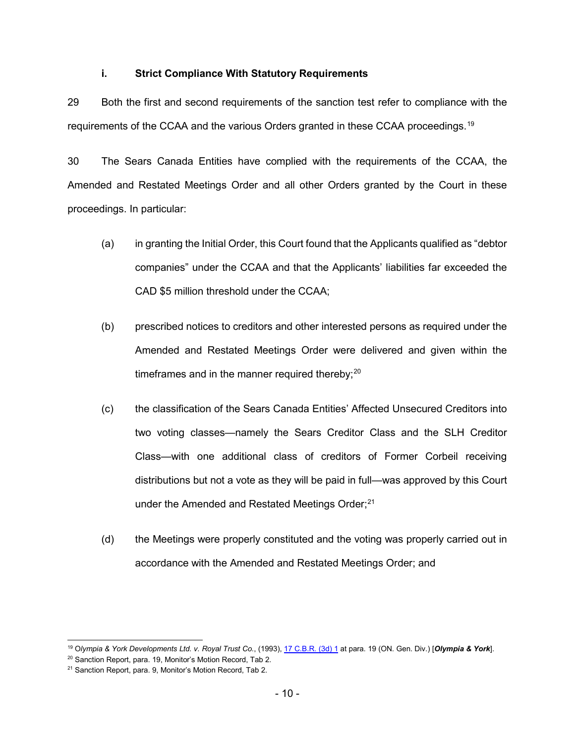### **i. Strict Compliance With Statutory Requirements**

29 Both the first and second requirements of the sanction test refer to compliance with the requirements of the CCAA and the various Orders granted in these CCAA proceedings.[19](#page-10-0)

30 The Sears Canada Entities have complied with the requirements of the CCAA, the Amended and Restated Meetings Order and all other Orders granted by the Court in these proceedings. In particular:

- (a) in granting the Initial Order, this Court found that the Applicants qualified as "debtor companies" under the CCAA and that the Applicants' liabilities far exceeded the CAD \$5 million threshold under the CCAA;
- (b) prescribed notices to creditors and other interested persons as required under the Amended and Restated Meetings Order were delivered and given within the timeframes and in the manner required thereby; $^{\rm 20}$  $^{\rm 20}$  $^{\rm 20}$
- (c) the classification of the Sears Canada Entities' Affected Unsecured Creditors into two voting classes—namely the Sears Creditor Class and the SLH Creditor Class—with one additional class of creditors of Former Corbeil receiving distributions but not a vote as they will be paid in full—was approved by this Court under the Amended and Restated Meetings Order; $^{\rm 21}$  $^{\rm 21}$  $^{\rm 21}$
- (d) the Meetings were properly constituted and the voting was properly carried out in accordance with the Amended and Restated Meetings Order; and

<span id="page-10-0"></span> <sup>19</sup> <sup>O</sup>*lympia & York Developments Ltd. v. Royal Trust Co.*, (1993)[, 17 C.B.R. \(3d\) 1](http://canlii.ca/t/g1h36) at para. 19 (ON. Gen. Div.) [*Olympia & York*].

<span id="page-10-1"></span><sup>20</sup> Sanction Report, para. 19, Monitor's Motion Record, Tab 2.

<span id="page-10-2"></span><sup>&</sup>lt;sup>21</sup> Sanction Report, para, 9, Monitor's Motion Record, Tab 2.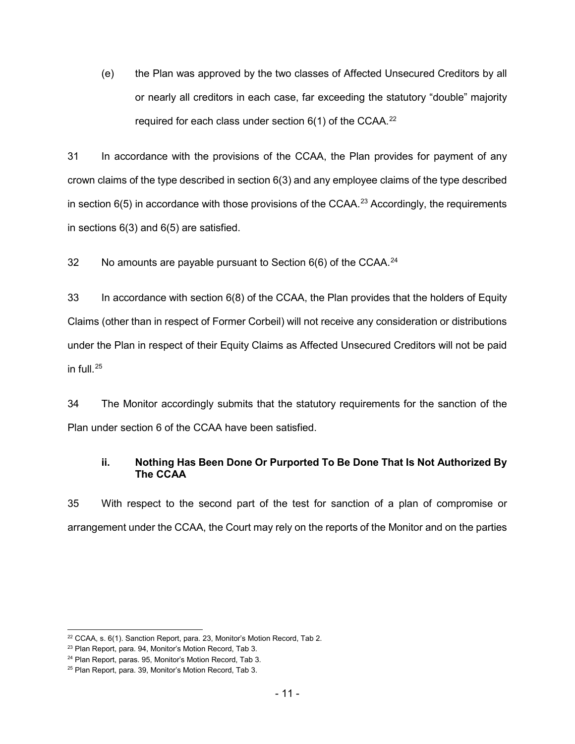(e) the Plan was approved by the two classes of Affected Unsecured Creditors by all or nearly all creditors in each case, far exceeding the statutory "double" majority required for each class under section  $6(1)$  of the CCAA.<sup>[22](#page-11-0)</sup>

31 In accordance with the provisions of the CCAA, the Plan provides for payment of any crown claims of the type described in section 6(3) and any employee claims of the type described in section 6(5) in accordance with those provisions of the CCAA.<sup>[23](#page-11-1)</sup> Accordingly, the requirements in sections 6(3) and 6(5) are satisfied.

32 No amounts are payable pursuant to Section 6(6) of the CCAA.<sup>[24](#page-11-2)</sup>

33 In accordance with section 6(8) of the CCAA, the Plan provides that the holders of Equity Claims (other than in respect of Former Corbeil) will not receive any consideration or distributions under the Plan in respect of their Equity Claims as Affected Unsecured Creditors will not be paid in full. $25$ 

34 The Monitor accordingly submits that the statutory requirements for the sanction of the Plan under section 6 of the CCAA have been satisfied.

# **ii. Nothing Has Been Done Or Purported To Be Done That Is Not Authorized By The CCAA**

35 With respect to the second part of the test for sanction of a plan of compromise or arrangement under the CCAA, the Court may rely on the reports of the Monitor and on the parties

<span id="page-11-0"></span> <sup>22</sup> CCAA, s. 6(1). Sanction Report, para. 23, Monitor's Motion Record, Tab 2.

<span id="page-11-1"></span><sup>23</sup> Plan Report, para. 94, Monitor's Motion Record, Tab 3.

<span id="page-11-2"></span><sup>24</sup> Plan Report, paras. 95, Monitor's Motion Record, Tab 3.

<span id="page-11-3"></span><sup>25</sup> Plan Report, para. 39, Monitor's Motion Record, Tab 3.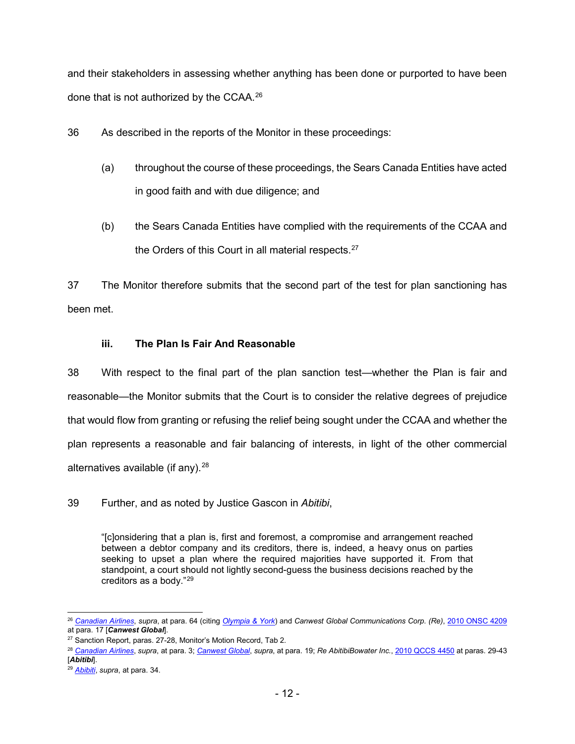and their stakeholders in assessing whether anything has been done or purported to have been done that is not authorized by the CCAA.<sup>[26](#page-12-0)</sup>

36 As described in the reports of the Monitor in these proceedings:

- (a) throughout the course of these proceedings, the Sears Canada Entities have acted in good faith and with due diligence; and
- (b) the Sears Canada Entities have complied with the requirements of the CCAA and the Orders of this Court in all material respects. [27](#page-12-1)

37 The Monitor therefore submits that the second part of the test for plan sanctioning has been met.

# **iii. The Plan Is Fair And Reasonable**

38 With respect to the final part of the plan sanction test—whether the Plan is fair and reasonable—the Monitor submits that the Court is to consider the relative degrees of prejudice that would flow from granting or refusing the relief being sought under the CCAA and whether the plan represents a reasonable and fair balancing of interests, in light of the other commercial alternatives available (if any). $28$ 

39 Further, and as noted by Justice Gascon in *Abitibi*,

"[c]onsidering that a plan is, first and foremost, a compromise and arrangement reached between a debtor company and its creditors, there is, indeed, a heavy onus on parties seeking to upset a plan where the required majorities have supported it. From that standpoint, a court should not lightly second-guess the business decisions reached by the creditors as a body."[29](#page-12-3)

<span id="page-12-0"></span> <sup>26</sup> *[Canadian](http://canlii.ca/t/5n40) Airlines*, *supra*, at para. 64 (citing *[Olympia & York](http://canlii.ca/t/g1h36)*) and *Canwest Global Communications Corp*. *(Re)*[, 2010 ONSC 4209](http://canlii.ca/t/2btgn)  at para. 17 [*Canwest Global*].

<span id="page-12-1"></span><sup>27</sup> Sanction Report, paras. 27-28, Monitor's Motion Record, Tab 2.

<span id="page-12-2"></span><sup>28</sup> *[Canadian Airlines](http://canlii.ca/t/5n40)*, *supra*, at para. 3; *[Canwest Global](http://canlii.ca/t/2btgn)*, *supra*, at para. 19; *Re AbitibiBowater Inc.*, [2010 QCCS 4450](http://canlii.ca/t/2cqqn) at paras. 29-43 [*Abitibi*].

<span id="page-12-3"></span><sup>29</sup> *[Abibiti](http://canlii.ca/t/2cqqn)*, *supra*, at para. 34.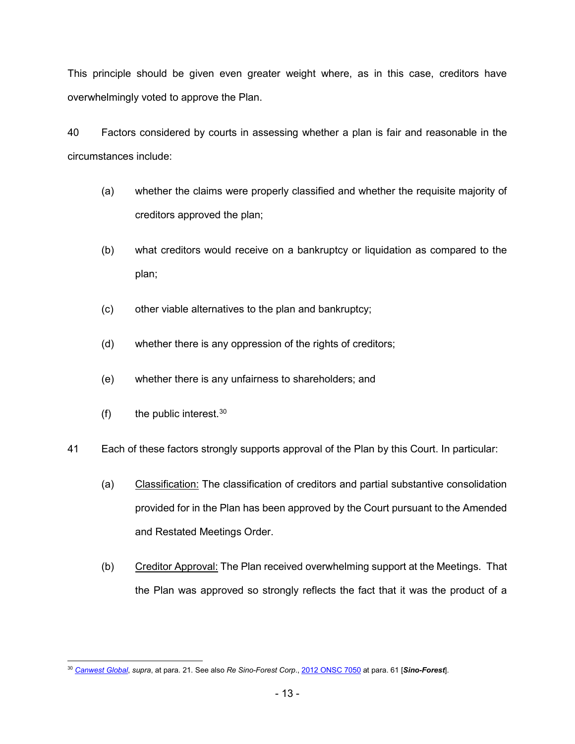This principle should be given even greater weight where, as in this case, creditors have overwhelmingly voted to approve the Plan.

40 Factors considered by courts in assessing whether a plan is fair and reasonable in the circumstances include:

- (a) whether the claims were properly classified and whether the requisite majority of creditors approved the plan;
- (b) what creditors would receive on a bankruptcy or liquidation as compared to the plan;
- (c) other viable alternatives to the plan and bankruptcy;
- (d) whether there is any oppression of the rights of creditors;
- (e) whether there is any unfairness to shareholders; and
- (f) the public interest.  $30$
- 41 Each of these factors strongly supports approval of the Plan by this Court. In particular:
	- (a) Classification: The classification of creditors and partial substantive consolidation provided for in the Plan has been approved by the Court pursuant to the Amended and Restated Meetings Order.
	- (b) Creditor Approval: The Plan received overwhelming support at the Meetings. That the Plan was approved so strongly reflects the fact that it was the product of a

<span id="page-13-0"></span> <sup>30</sup> *[Canwest Global](http://canlii.ca/t/2btgn)*, *supra*, at para. 21. See also *Re Sino-Forest Corp*.[, 2012 ONSC 7050](http://canlii.ca/t/fv8tb) at para. 61 [*Sino-Forest*].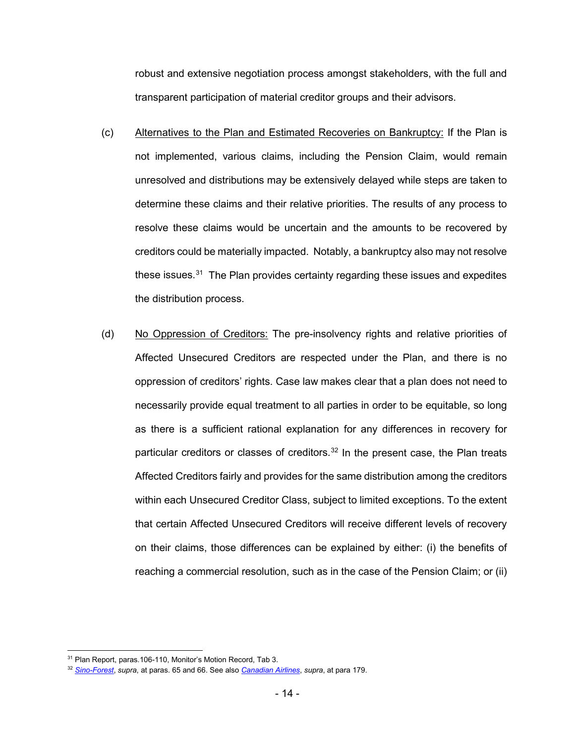robust and extensive negotiation process amongst stakeholders, with the full and transparent participation of material creditor groups and their advisors.

- (c) Alternatives to the Plan and Estimated Recoveries on Bankruptcy: If the Plan is not implemented, various claims, including the Pension Claim, would remain unresolved and distributions may be extensively delayed while steps are taken to determine these claims and their relative priorities. The results of any process to resolve these claims would be uncertain and the amounts to be recovered by creditors could be materially impacted. Notably, a bankruptcy also may not resolve these issues. [31](#page-14-0) The Plan provides certainty regarding these issues and expedites the distribution process.
- (d) No Oppression of Creditors: The pre-insolvency rights and relative priorities of Affected Unsecured Creditors are respected under the Plan, and there is no oppression of creditors' rights. Case law makes clear that a plan does not need to necessarily provide equal treatment to all parties in order to be equitable, so long as there is a sufficient rational explanation for any differences in recovery for particular creditors or classes of creditors.<sup>[32](#page-14-1)</sup> In the present case, the Plan treats Affected Creditors fairly and provides for the same distribution among the creditors within each Unsecured Creditor Class, subject to limited exceptions. To the extent that certain Affected Unsecured Creditors will receive different levels of recovery on their claims, those differences can be explained by either: (i) the benefits of reaching a commercial resolution, such as in the case of the Pension Claim; or (ii)

<span id="page-14-0"></span> <sup>31</sup> Plan Report, paras.106-110, Monitor's Motion Record, Tab 3.

<span id="page-14-1"></span><sup>32</sup> *[Sino-Forest](http://canlii.ca/t/fv8tb)*, *supra*, at paras. 65 and 66. See also *[Canadian](http://canlii.ca/t/5n40) Airlines*, *supra*, at para 179.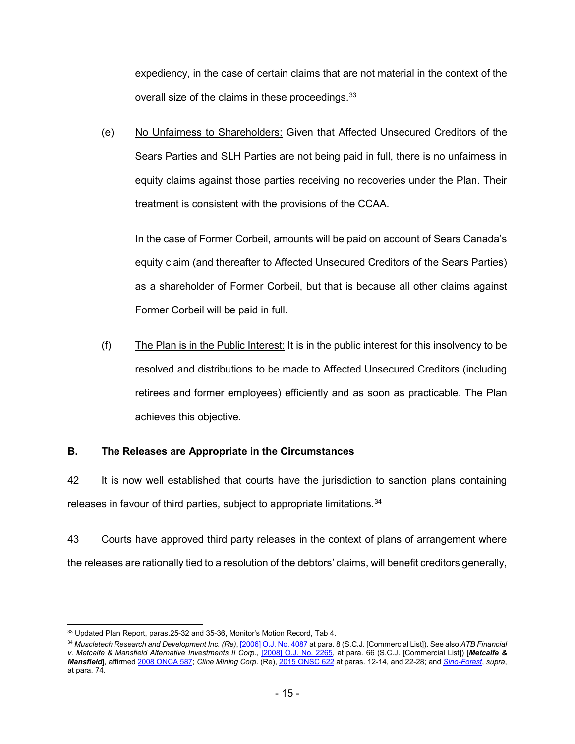expediency, in the case of certain claims that are not material in the context of the overall size of the claims in these proceedings.<sup>[33](#page-15-0)</sup>

(e) No Unfairness to Shareholders: Given that Affected Unsecured Creditors of the Sears Parties and SLH Parties are not being paid in full, there is no unfairness in equity claims against those parties receiving no recoveries under the Plan. Their treatment is consistent with the provisions of the CCAA.

In the case of Former Corbeil, amounts will be paid on account of Sears Canada's equity claim (and thereafter to Affected Unsecured Creditors of the Sears Parties) as a shareholder of Former Corbeil, but that is because all other claims against Former Corbeil will be paid in full.

(f) The Plan is in the Public Interest: It is in the public interest for this insolvency to be resolved and distributions to be made to Affected Unsecured Creditors (including retirees and former employees) efficiently and as soon as practicable. The Plan achieves this objective.

# **B. The Releases are Appropriate in the Circumstances**

<span id="page-15-2"></span>42 It is now well established that courts have the jurisdiction to sanction plans containing releases in favour of third parties, subject to appropriate limitations. [34](#page-15-1)

43 Courts have approved third party releases in the context of plans of arrangement where the releases are rationally tied to a resolution of the debtors' claims, will benefit creditors generally,

<span id="page-15-0"></span><sup>&</sup>lt;sup>33</sup> Updated Plan Report, paras. 25-32 and 35-36, Monitor's Motion Record, Tab 4.

<span id="page-15-1"></span><sup>34</sup> *Muscletech Research and Development Inc. (Re)*, [\[2006\] O.J. No. 4087](http://canlii.ca/t/1prqn) at para. 8 (S.C.J. [Commercial List]). See also *ATB Financial v. Metcalfe & Mansfield Alternative Investments II Corp.*, [\[2008\] O.J. No. 2265,](http://canlii.ca/t/1x6fl) at para. 66 (S.C.J. [Commercial List]) [*Metcalfe & Mansfield*], affirme[d 2008 ONCA 587;](http://canlii.ca/t/20bks) *Cline Mining Corp*. (Re)[, 2015 ONSC 622](http://canlii.ca/t/ggndc) at paras. 12-14, and 22-28; and *[Sino-Forest](http://canlii.ca/t/fv8tb)*, *supra*, at para. 74.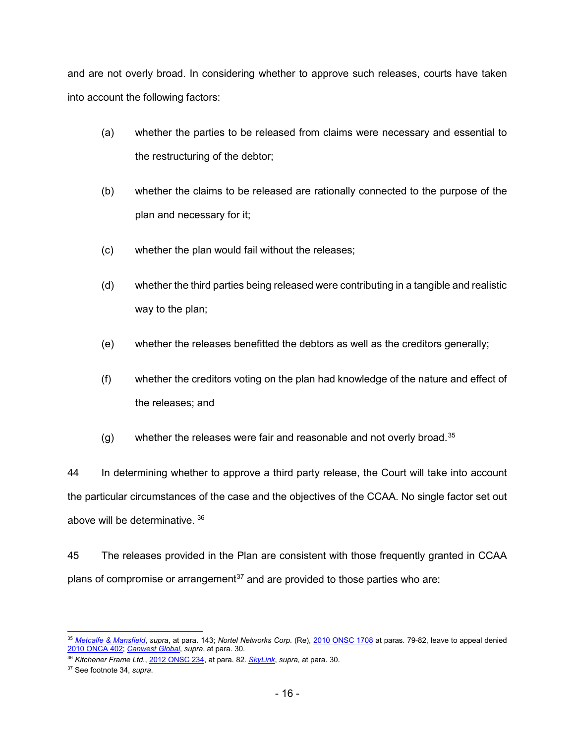and are not overly broad. In considering whether to approve such releases, courts have taken into account the following factors:

- (a) whether the parties to be released from claims were necessary and essential to the restructuring of the debtor;
- (b) whether the claims to be released are rationally connected to the purpose of the plan and necessary for it;
- (c) whether the plan would fail without the releases;
- (d) whether the third parties being released were contributing in a tangible and realistic way to the plan;
- (e) whether the releases benefitted the debtors as well as the creditors generally;
- (f) whether the creditors voting on the plan had knowledge of the nature and effect of the releases; and
- (g) whether the releases were fair and reasonable and not overly broad. $35$

44 In determining whether to approve a third party release, the Court will take into account the particular circumstances of the case and the objectives of the CCAA. No single factor set out above will be determinative. [36](#page-16-1)

45 The releases provided in the Plan are consistent with those frequently granted in CCAA plans of compromise or arrangement<sup>[37](#page-16-2)</sup> and are provided to those parties who are:

<span id="page-16-0"></span> <sup>35</sup> *[Metcalfe & Mansfield](http://canlii.ca/t/1x6fl)*, *supra*, at para. 143; *Nortel Networks Corp*. (Re), [2010 ONSC 1708](http://canlii.ca/t/28x37) at paras. 79-82, leave to appeal denied [2010 ONCA 402;](http://canlii.ca/t/2b04g) *[Canwest](http://canlii.ca/t/2btgn) Global*, *supra*, at para. 30.

<span id="page-16-1"></span><sup>36</sup> *Kitchener Frame Ltd.*, [2012 ONSC 234,](http://canlii.ca/t/fpw67) at para. 82. *[SkyLink](http://canlii.ca/t/fz4b5)*, *supra*, at para. 30.

<span id="page-16-2"></span><sup>37</sup> See footnot[e 34,](#page-15-2) *supra*.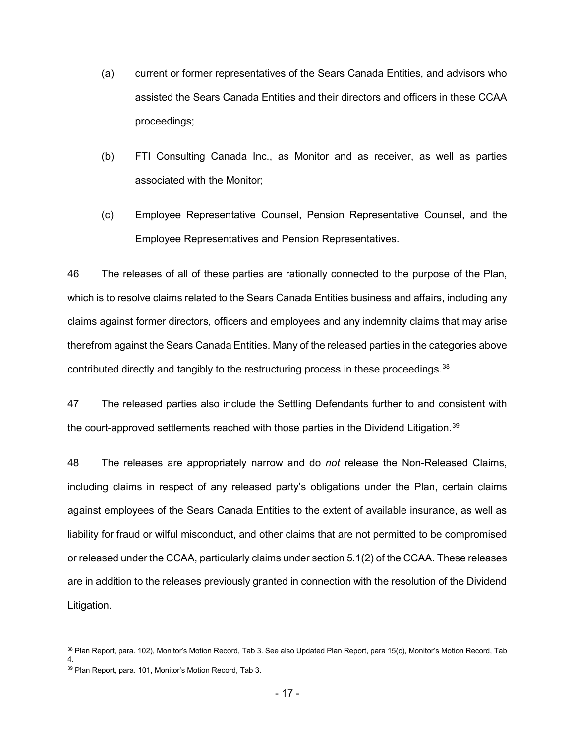- (a) current or former representatives of the Sears Canada Entities, and advisors who assisted the Sears Canada Entities and their directors and officers in these CCAA proceedings;
- (b) FTI Consulting Canada Inc., as Monitor and as receiver, as well as parties associated with the Monitor;
- (c) Employee Representative Counsel, Pension Representative Counsel, and the Employee Representatives and Pension Representatives.

46 The releases of all of these parties are rationally connected to the purpose of the Plan, which is to resolve claims related to the Sears Canada Entities business and affairs, including any claims against former directors, officers and employees and any indemnity claims that may arise therefrom against the Sears Canada Entities. Many of the released parties in the categories above contributed directly and tangibly to the restructuring process in these proceedings.<sup>38</sup>

47 The released parties also include the Settling Defendants further to and consistent with the court-approved settlements reached with those parties in the Dividend Litigation. $^{\rm 39}$  $^{\rm 39}$  $^{\rm 39}$ 

48 The releases are appropriately narrow and do *not* release the Non-Released Claims, including claims in respect of any released party's obligations under the Plan, certain claims against employees of the Sears Canada Entities to the extent of available insurance, as well as liability for fraud or wilful misconduct, and other claims that are not permitted to be compromised or released under the CCAA, particularly claims under section 5.1(2) of the CCAA. These releases are in addition to the releases previously granted in connection with the resolution of the Dividend Litigation.

<span id="page-17-0"></span><sup>&</sup>lt;sup>38</sup> Plan Report, para. 102), Monitor's Motion Record, Tab 3. See also Updated Plan Report, para 15(c), Monitor's Motion Record, Tab 4.

<span id="page-17-1"></span><sup>39</sup> Plan Report, para. 101, Monitor's Motion Record, Tab 3.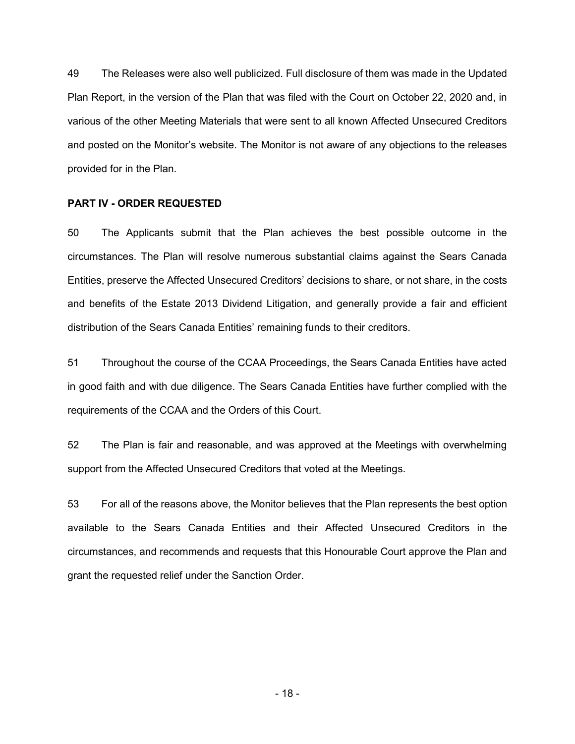49 The Releases were also well publicized. Full disclosure of them was made in the Updated Plan Report, in the version of the Plan that was filed with the Court on October 22, 2020 and, in various of the other Meeting Materials that were sent to all known Affected Unsecured Creditors and posted on the Monitor's website. The Monitor is not aware of any objections to the releases provided for in the Plan.

#### **PART IV - ORDER REQUESTED**

50 The Applicants submit that the Plan achieves the best possible outcome in the circumstances. The Plan will resolve numerous substantial claims against the Sears Canada Entities, preserve the Affected Unsecured Creditors' decisions to share, or not share, in the costs and benefits of the Estate 2013 Dividend Litigation, and generally provide a fair and efficient distribution of the Sears Canada Entities' remaining funds to their creditors.

51 Throughout the course of the CCAA Proceedings, the Sears Canada Entities have acted in good faith and with due diligence. The Sears Canada Entities have further complied with the requirements of the CCAA and the Orders of this Court.

52 The Plan is fair and reasonable, and was approved at the Meetings with overwhelming support from the Affected Unsecured Creditors that voted at the Meetings.

53 For all of the reasons above, the Monitor believes that the Plan represents the best option available to the Sears Canada Entities and their Affected Unsecured Creditors in the circumstances, and recommends and requests that this Honourable Court approve the Plan and grant the requested relief under the Sanction Order.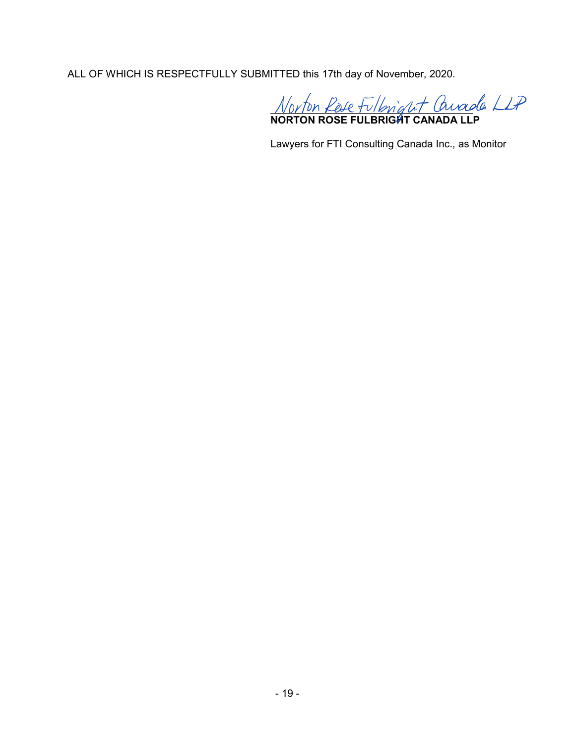ALL OF WHICH IS RESPECTFULLY SUBMITTED this 17th day of November, 2020.

**NORTON ROSE FULBRIGHT CANADA LLP**

Lawyers for FTI Consulting Canada Inc., as Monitor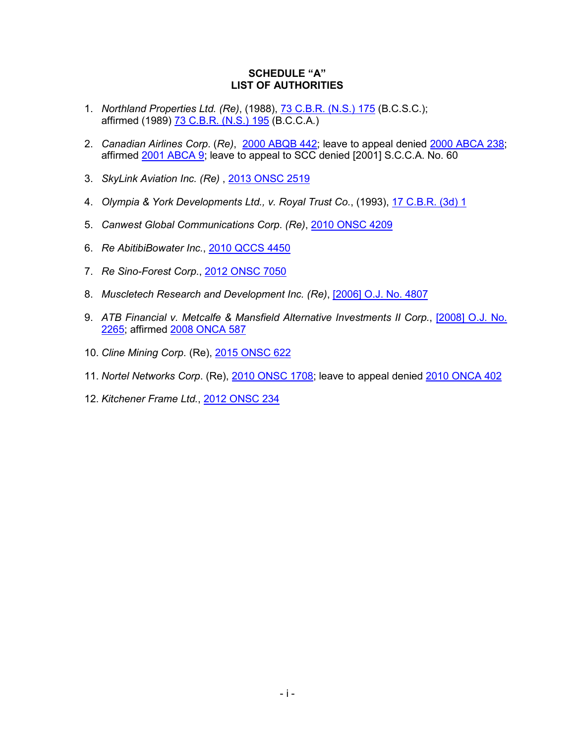# **SCHEDULE "A" LIST OF AUTHORITIES**

- 1. *Northland Properties Ltd. (Re)*, (1988), [73 C.B.R. \(N.S.\) 175](http://canlii.ca/t/22kc4) (B.C.S.C.); affirmed (1989) [73 C.B.R. \(N.S.\) 195](http://canlii.ca/t/216mc) (B.C.C.A.)
- 2. *Canadian Airlines Corp*. (*Re)*,[2000 ABQB 442;](http://canlii.ca/t/5n40) leave to appeal denied [2000 ABCA 238;](http://canlii.ca/t/5rq0) affirmed [2001 ABCA 9;](http://canlii.ca/t/5rn7) leave to appeal to SCC denied [2001] S.C.C.A. No. 60
- 3. *SkyLink Aviation Inc. (Re)* , [2013 ONSC 2519](http://canlii.ca/t/fz4b5)
- 4. *Olympia & York Developments Ltd., v. Royal Trust Co.*, (1993), [17 C.B.R. \(3d\) 1](http://canlii.ca/t/g1h36)
- 5. *Canwest Global Communications Corp*. *(Re)*, [2010 ONSC 4209](http://canlii.ca/t/2btgn)
- 6. *Re AbitibiBowater Inc.*, [2010 QCCS 4450](http://canlii.ca/t/2cqqn)
- 7. *Re Sino-Forest Corp*., [2012 ONSC 7050](http://canlii.ca/t/fv8tb)
- 8. *Muscletech Research and Development Inc. (Re)*, [2006] [O.J. No. 4807](http://canlii.ca/t/1prqn)
- 9. *ATB Financial v. Metcalfe & Mansfield Alternative Investments II Corp.*, [\[2008\] O.J. No.](http://canlii.ca/t/1x6fl)  [2265;](http://canlii.ca/t/1x6fl) affirmed [2008 ONCA 587](http://canlii.ca/t/20bks)
- 10. *Cline Mining Corp*. (Re), [2015 ONSC 622](http://canlii.ca/t/ggndc)
- 11. *Nortel Networks Corp*. (Re), [2010 ONSC 1708;](http://canlii.ca/t/28x37) leave to appeal denied [2010 ONCA 402](http://canlii.ca/t/2b04g)
- 12. *Kitchener Frame Ltd.*, [2012 ONSC 234](http://canlii.ca/t/fpw67)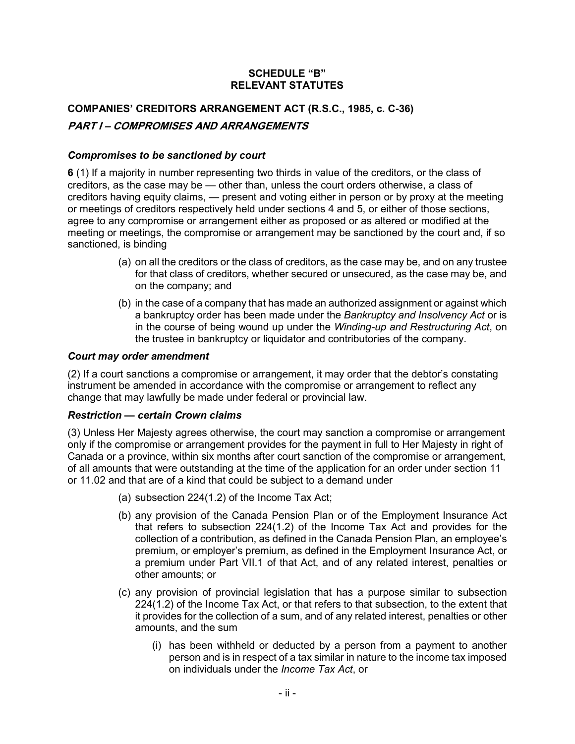# **SCHEDULE "B" RELEVANT STATUTES**

# **COMPANIES' CREDITORS ARRANGEMENT ACT (R.S.C., 1985, c. C-36) PART I – COMPROMISES AND ARRANGEMENTS**

# *Compromises to be sanctioned by court*

**6** (1) If a majority in number representing two thirds in value of the creditors, or the class of creditors, as the case may be — other than, unless the court orders otherwise, a class of creditors having equity claims, — present and voting either in person or by proxy at the meeting or meetings of creditors respectively held under sections 4 and 5, or either of those sections, agree to any compromise or arrangement either as proposed or as altered or modified at the meeting or meetings, the compromise or arrangement may be sanctioned by the court and, if so sanctioned, is binding

- (a) on all the creditors or the class of creditors, as the case may be, and on any trustee for that class of creditors, whether secured or unsecured, as the case may be, and on the company; and
- (b) in the case of a company that has made an authorized assignment or against which a bankruptcy order has been made under the *Bankruptcy and Insolvency Act* or is in the course of being wound up under the *Winding-up and Restructuring Act*, on the trustee in bankruptcy or liquidator and contributories of the company.

# *Court may order amendment*

(2) If a court sanctions a compromise or arrangement, it may order that the debtor's constating instrument be amended in accordance with the compromise or arrangement to reflect any change that may lawfully be made under federal or provincial law.

# *Restriction — certain Crown claims*

(3) Unless Her Majesty agrees otherwise, the court may sanction a compromise or arrangement only if the compromise or arrangement provides for the payment in full to Her Majesty in right of Canada or a province, within six months after court sanction of the compromise or arrangement, of all amounts that were outstanding at the time of the application for an order under section 11 or 11.02 and that are of a kind that could be subject to a demand under

- (a) subsection 224(1.2) of the [Income Tax Act;](https://laws-lois.justice.gc.ca/eng/acts/I-3.3)
- (b) any provision of the [Canada Pension Plan](https://laws-lois.justice.gc.ca/eng/acts/C-8) or of the [Employment Insurance Act](https://laws-lois.justice.gc.ca/eng/acts/E-5.6) that refers to subsection 224(1.2) of the [Income Tax Act](https://laws-lois.justice.gc.ca/eng/acts/I-3.3) and provides for the collection of a contribution, as defined in the [Canada Pension Plan,](https://laws-lois.justice.gc.ca/eng/acts/C-8) an employee's premium, or employer's premium, as defined in the [Employment Insurance Act,](https://laws-lois.justice.gc.ca/eng/acts/E-5.6) or a premium under Part VII.1 of that Act, and of any related interest, penalties or other amounts; or
- (c) any provision of provincial legislation that has a purpose similar to subsection 224(1.2) of the [Income Tax Act,](https://laws-lois.justice.gc.ca/eng/acts/I-3.3) or that refers to that subsection, to the extent that it provides for the collection of a sum, and of any related interest, penalties or other amounts, and the sum
	- (i) has been withheld or deducted by a person from a payment to another person and is in respect of a tax similar in nature to the income tax imposed on individuals under the *Income Tax Act*, or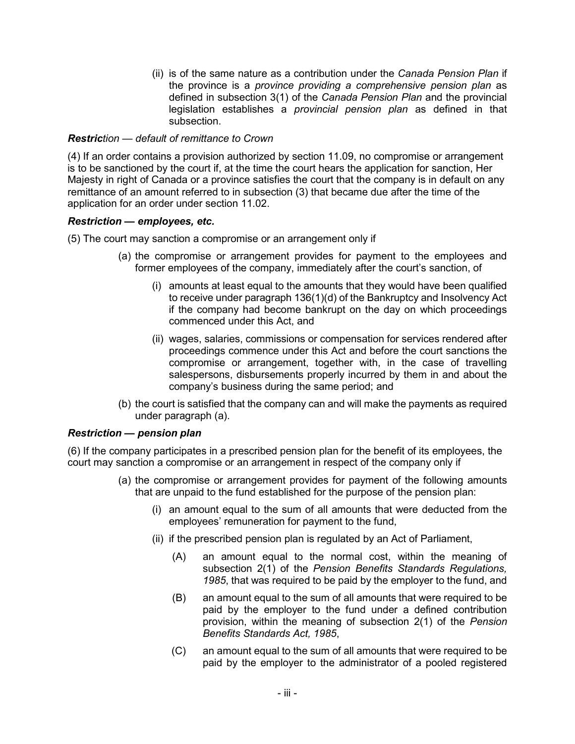(ii) is of the same nature as a contribution under the *Canada Pension Plan* if the province is a *province providing a comprehensive pension plan* as defined in subsection 3(1) of the *Canada Pension Plan* and the provincial legislation establishes a *provincial pension plan* as defined in that subsection.

# *Restriction — default of remittance to Crown*

(4) If an order contains a provision authorized by section 11.09, no compromise or arrangement is to be sanctioned by the court if, at the time the court hears the application for sanction, Her Majesty in right of Canada or a province satisfies the court that the company is in default on any remittance of an amount referred to in subsection (3) that became due after the time of the application for an order under section 11.02.

#### *Restriction — employees, etc.*

(5) The court may sanction a compromise or an arrangement only if

- (a) the compromise or arrangement provides for payment to the employees and former employees of the company, immediately after the court's sanction, of
	- (i) amounts at least equal to the amounts that they would have been qualified to receive under paragraph 136(1)(d) of the [Bankruptcy and Insolvency Act](https://laws-lois.justice.gc.ca/eng/acts/B-3) if the company had become bankrupt on the day on which proceedings commenced under this Act, and
	- (ii) wages, salaries, commissions or compensation for services rendered after proceedings commence under this Act and before the court sanctions the compromise or arrangement, together with, in the case of travelling salespersons, disbursements properly incurred by them in and about the company's business during the same period; and
- (b) the court is satisfied that the company can and will make the payments as required under paragraph (a).

#### *Restriction — pension plan*

(6) If the company participates in a prescribed pension plan for the benefit of its employees, the court may sanction a compromise or an arrangement in respect of the company only if

- (a) the compromise or arrangement provides for payment of the following amounts that are unpaid to the fund established for the purpose of the pension plan:
	- (i) an amount equal to the sum of all amounts that were deducted from the employees' remuneration for payment to the fund,
	- (ii) if the prescribed pension plan is regulated by an Act of Parliament,
		- (A) an amount equal to the normal cost, within the meaning of subsection 2(1) of the *Pension Benefits Standards Regulations, 1985*, that was required to be paid by the employer to the fund, and
		- (B) an amount equal to the sum of all amounts that were required to be paid by the employer to the fund under a defined contribution provision, within the meaning of subsection 2(1) of the *Pension Benefits Standards Act, 1985*,
		- (C) an amount equal to the sum of all amounts that were required to be paid by the employer to the administrator of a pooled registered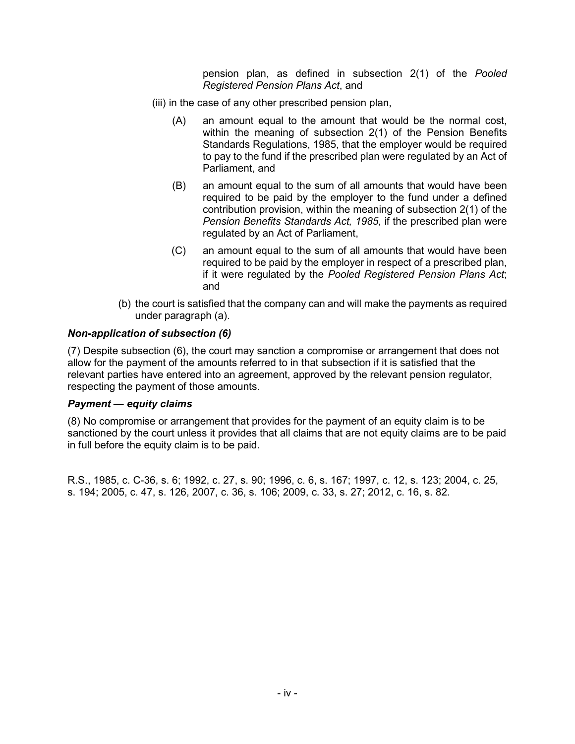pension plan, as defined in subsection 2(1) of the *Pooled Registered Pension Plans Act*, and

- (iii) in the case of any other prescribed pension plan,
	- (A) an amount equal to the amount that would be the normal cost, within the meaning of subsection 2(1) of the [Pension Benefits](https://laws-lois.justice.gc.ca/eng/regulations/SOR-87-19)  [Standards Regulations, 1985,](https://laws-lois.justice.gc.ca/eng/regulations/SOR-87-19) that the employer would be required to pay to the fund if the prescribed plan were regulated by an Act of Parliament, and
	- (B) an amount equal to the sum of all amounts that would have been required to be paid by the employer to the fund under a defined contribution provision, within the meaning of subsection 2(1) of the *Pension Benefits Standards Act, 1985*, if the prescribed plan were regulated by an Act of Parliament,
	- (C) an amount equal to the sum of all amounts that would have been required to be paid by the employer in respect of a prescribed plan, if it were regulated by the *Pooled Registered Pension Plans Act*; and
- (b) the court is satisfied that the company can and will make the payments as required under paragraph (a).

# *Non-application of subsection (6)*

(7) Despite subsection (6), the court may sanction a compromise or arrangement that does not allow for the payment of the amounts referred to in that subsection if it is satisfied that the relevant parties have entered into an agreement, approved by the relevant pension regulator, respecting the payment of those amounts.

# *Payment — equity claims*

(8) No compromise or arrangement that provides for the payment of an equity claim is to be sanctioned by the court unless it provides that all claims that are not equity claims are to be paid in full before the equity claim is to be paid.

R.S., 1985, c. C-36, s. 6; 1992, c. 27, s. 90; 1996, c. 6, s. 167; 1997, c. 12, s. 123; 2004, c. 25, s. 194; 2005, c. 47, s. 126, 2007, c. 36, s. 106; 2009, c. 33, s. 27; 2012, c. 16, s. 82.